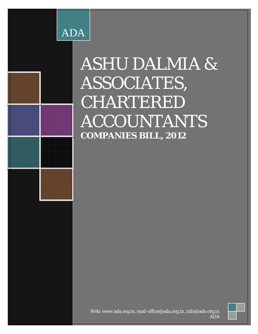

# ASHU DALMIA & ASSOCIATES, CHARTERED ACCOUNTANTS **COMPANIES BILL, 2012**

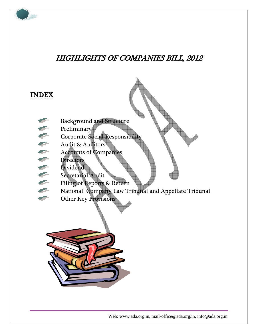# HIGHLIGHTS OF COMPANIES BILL, 2012

## INDEX

- Background and Structure
- Preliminary
	- Corporate Social Responsibilit
- Audit & Auditors
- age. Accounts of Companies
- an i **Directors**
- **STEP** Dividend
- Secretarial Audit
- Filing of Reports & Return
- National Company Law Tribunal and Appellate Tribunal
- Other Key Provisions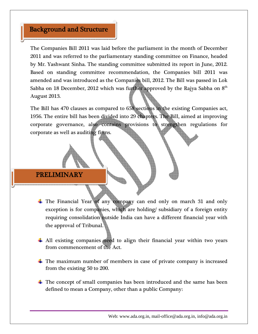#### Background and Structure

The Companies Bill 2011 was laid before the parliament in the month of December 2011 and was referred to the parliamentary standing committee on Finance, headed by Mr. Yashwant Sinha. The standing committee submitted its report in June, 2012. Based on standing committee recommendation, the Companies bill 2011 was amended and was introduced as the Companies bill, 2012. The Bill was passed in Lok Sabha on 18 December, 2012 which was further approved by the Rajya Sabha on  $8<sup>th</sup>$ August 2013.

The Bill has 470 clauses as compared to 658 sections in the existing Companies act, 1956. The entire bill has been divided into 29 chapters. The Bill, aimed at improving corporate governance, also contains provisions to strengthen regulations for corporate as well as auditing firms.

#### PRELIMINARY

- $\pm$  The Financial Year of any company can end only on march 31 and only exception is for companies, which are holding/ subsidiary of a foreign entity requiring consolidation outside India can have a different financial year with the approval of Tribunal.
- All existing companies need to align their financial year within two years from commencement of the Act.
- $\pm$  The maximum number of members in case of private company is increased from the existing 50 to 200.
- $\pm$  The concept of small companies has been introduced and the same has been defined to mean a Company, other than a public Company: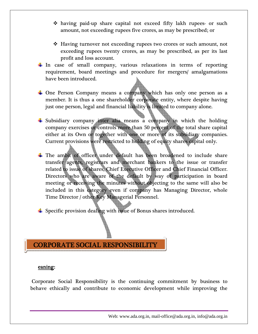- having paid-up share capital not exceed fifty lakh rupees- or such amount, not exceeding rupees five crores, as may be prescribed; or
- Having turnover not exceeding rupees two crores or such amount, not exceeding rupees twenty crores, as may be prescribed, as per its last profit and loss account.
- $\pm$  In case of small company, various relaxations in terms of reporting requirement, board meetings and procedure for mergers/ amalgamations have been introduced.
- $\frac{1}{2}$  One Person Company means a company which has only one person as a member. It is thus a one shareholder corporate entity, where despite having just one person, legal and financial liability is limited to company alone.
- $\frac{1}{2}$  Subsidiary company inter alia means a company in which the holding company exercises or controls more than 50 percent of the total share capital either at its Own or together with one or more of its subsidiary companies. Current provisions were restricted to holding of equity shares capital only.
- $\pm$  The ambit of officer under default has been broadened to include share transfer agents, registrars and merchant bankers to the issue or transfer related to issue of shares, Chief Executive Officer and Chief Financial Officer. Directors who are aware of the default by way of participation in board meeting or receiving the minutes without objecting to the same will also be included in this category even if company has Managing Director, whole Time Director / other Key Managerial Personnel.
- $\frac{1}{\sqrt{2}}$  Specific provision dealing with issue of Bonus shares introduced.

#### CORPORATE SOCIAL RESPONSIBILITY

#### eaning:

 Corporate Social Responsibility is the continuing commitment by business to behave ethically and contribute to economic development while improving the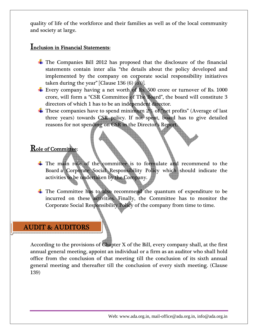quality of life of the workforce and their families as well as of the local community and society at large.

#### Inclusion in Financial Statements:

- $\pm$  The Companies Bill 2012 has proposed that the disclosure of the financial statements contain inter alia "the details about the policy developed and implemented by the company on corporate social responsibility initiatives taken during the year" [Clause 136  $(6)$   $(0)$ ].
- Every company having a net worth of Rs. 500 crore or turnover of Rs. 1000 crore, will form a "CSR Committee of The Board", the board will constitute 3 directors of which 1 has to be an independent director.
- $\frac{1}{2}$  These companies have to spend minimum 2% of "net profits" (Average of last three years) towards CSR policy. If not spent, board has to give detailed reasons for not spending on CSR in the Director's Report.

#### Role of Committee:

- $\pm$  The main role of the committee is to formulate and recommend to the Board a Corporate Social Responsibility Policy which should indicate the activities to be undertaken by the Company.
- The Committee has to also recommend the quantum of expenditure to be incurred on these activities. Finally, the Committee has to monitor the Corporate Social Responsibility Policy of the company from time to time.

#### AUDIT & AUDITORS

According to the provisions of Chapter X of the Bill, every company shall, at the first annual general meeting, appoint an individual or a firm as an auditor who shall hold office from the conclusion of that meeting till the conclusion of its sixth annual general meeting and thereafter till the conclusion of every sixth meeting. (Clause 139)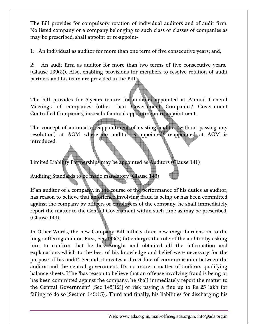The Bill provides for compulsory rotation of individual auditors and of audit firm. No listed company or a company belonging to such class or classes of companies as may be prescribed, shall appoint or re-appoint-

1: An individual as auditor for more than one term of five consecutive years; and,

2: An audit firm as auditor for more than two terms of five consecutive years. (Clause 139(2)). Also, enabling provisions for members to resolve rotation of audit partners and his team are provided in the Bill.

The bill provides for 5-years tenure for auditors appointed at Annual General Meetings of companies (other than Government Companies/ Government Controlled Companies) instead of annual appointment/ re-appointment.

The concept of automatic reappointment of existing auditor (without passing any resolution) at AGM where no auditor is appointed/ reappointed at AGM is introduced.

Limited Liability Partnerships may be appointed as Auditors (Clause 141)

Auditing Standards to be made mandatory (Clause 143)

If an auditor of a company, in the course of the performance of his duties as auditor, has reason to believe that an offence involving fraud is being or has been committed against the company by officers or employees of the company, he shall immediately report the matter to the Central Government within such time as may be prescribed. (Clause 143).

In Other Words, the new Company Bill inflicts three new mega burdens on to the long suffering auditor. First, Sec 143(3) (a) enlarges the role of the auditor by asking him to confirm that he has "sought and obtained all the information and explanations which to the best of his knowledge and belief were necessary for the purpose of his audit". Second, it creates a direct line of communication between the auditor and the central government. It's no more a matter of auditors qualifying balance sheets. If he "has reason to believe that an offense involving fraud is being or has been committed against the company, he shall immediately report the matter to the Central Government" [Sec 143(12)] or risk paying a fine up to Rs 25 lakh for failing to do so [Section 145(15)]. Third and finally, his liabilities for discharging his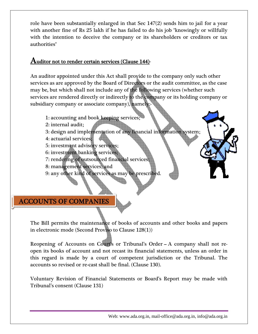role have been substantially enlarged in that Sec 147(2) sends him to jail for a year with another fine of Rs 25 lakh if he has failed to do his job "knowingly or willfully with the intention to deceive the company or its shareholders or creditors or tax authorities"

## ${\bf A}$ uditor not to render certain services (Clause 144)-

An auditor appointed under this Act shall provide to the company only such other services as are approved by the Board of Directors or the audit committee, as the case may be, but which shall not include any of the following services (whether such services are rendered directly or indirectly to the company or its holding company or subsidiary company or associate company), namely:-`

- 1: accounting and book keeping services;
- 2 : internal a audit;
- 3: design and implementation of any financial information system;
- 4 4: actuarial services;
- 5: investment advisory services;
- 6 : investmen nt banking g services;
- 7: rendering of outsourced financial services;
- 8 : managem ment servic ces; and
- 9 : any other r kind of se ervices as m may be pres scribed.

## **ACCOUNTS OF COMPANIES**

The Bill permits the maintenance of books of accounts and other books and papers in electronic mode (Second Proviso to Clause 128(1))

Reopening of Accounts on Court's or Tribunal's Order - A company shall not reopen its books of account and not recast its financial statements, unless an order in this regard is made by a court of competent jurisdiction or the Tribunal. The accounts so revised or re-cast shall be final. (Clause 130).

Voluntary Revision of Financial Statements or Board's Report may be made with Tribunal's consent (Clause 131)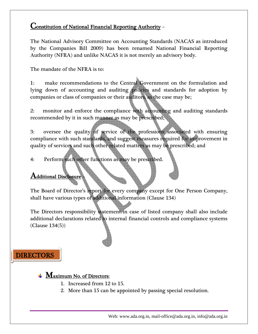#### Constitution of National Financial Reporting Authority –

The National Advisory Committee on Accounting Standards (NACAS as introduced by the Companies Bill 2009) has been renamed National Financial Reporting Authority (NFRA) and unlike NACAS it is not merely an advisory body.

The mandate of the NFRA is to:

1: make recommendations to the Central Government on the formulation and lying down of accounting and auditing policies and standards for adoption by companies or class of companies or their auditors, as the case may be;

2: monitor and enforce the compliance with accounting and auditing standards recommended by it in such manner as may be prescribed;

3: oversee the quality of service of the professions associated with ensuring compliance with such standards, and suggest measures required for improvement in quality of services and such other related matters as may be prescribed; and

4: Perform such other functions as may be prescribed.

#### ${\rm \bf Additional\ Disclosure}$

The Board of Director's report for every company except for One Person Company, shall have various types of additional information (Clause 134)

The Directors responsibility statement in case of listed company shall also include additional declarations related to internal financial controls and compliance systems (Clause 134(5))

## DIRECTORS

#### $\textcolor{red}{\blacktriangleleft}$  **Maximum No. of Directors:**

- 1. Increased from 12 to 15.
- 2. More than 15 can be appointed by passing special resolution.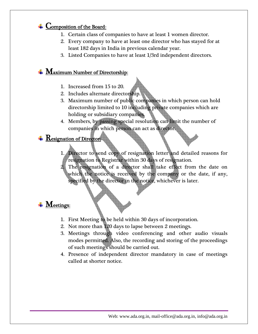## $\leftarrow$  Composition of the Board:

- 1. Certain class of companies to have at least 1 women director.
- 2. Every company to have at least one director who has stayed for at least 182 days in India in previous calendar year.
- 3. Listed Companies to have at least 1/3rd independent directors.

#### $\frac{1}{\sqrt{2}}$  Maximum Number of Directorship:

- 1. Increased from 15 to 20.
- 2. Includes alternate directorship.
- 3. Maximum number of public companies in which person can hold directorship limited to 10 including private companies which are holding or subsidiary companies.
- 4. Members, by passing special resolution can limit the number of companies in which person can act as director.

#### $\frac{1}{\sqrt{2}}$  **Resignation of Director:**

- 1. Director to send copy of resignation letter and detailed reasons for resignation to Registrar within 30 days of resignation.
- The resignation of a director shall take effect from the date on which the notice is received by the company or the date, if any, specified by the director in the notice, whichever is later.

## **Weetings:**

- 1. First Meeting to be held within 30 days of incorporation.
- 2. Not more than 120 days to lapse between 2 meetings.
- 3. Meetings through video conferencing and other audio visuals modes permitted. Also, the recording and storing of the proceedings of such meetings should be carried out.
- 4. Presence of independent director mandatory in case of meetings called at shorter notice.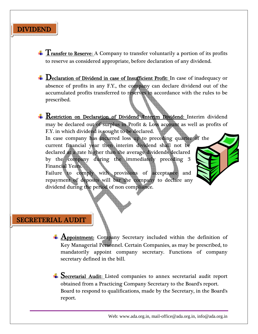## DIVIDEND

 $T$  Transfer to Reserve: A Company to transfer voluntarily a portion of its profits to reserve as considered appropriate, before declaration of any dividend.

 $\perp$  Declaration of Dividend in case of Insufficient Profit: In case of inadequacy or absence of profits in any F.Y., the company can declare dividend out of the accumulated profits transferred to reserves in accordance with the rules to be prescribed.

**Restriction on Declaration of Dividend /Interim Dividend:** Interim dividend may be declared out of surplus in Profit & Loss account as well as profits of F.Y. in which dividend is sought to be declared. In case company has incurred loss up to preceding quarter of the current financial year then interim dividend shall not be declared at a rate higher than the average dividends declared by the company during the immediately preceding 3 Financial Years. Failure to comply with provisions of acceptance and repayment of deposits will bar the company to declare any dividend during the period of non compliance.

#### SECRETERIAL AUDIT

**4 Appointment:** Company Secretary included within the definition of Key Managerial Personnel. Certain Companies, as may be prescribed, to mandatorily appoint company secretary. Functions of company secretary defined in the bill.

Secretarial Audit: Listed companies to annex secretarial audit report obtained from a Practicing Company Secretary to the Board's report. Board to respond to qualifications, made by the Secretary, in the Board's report.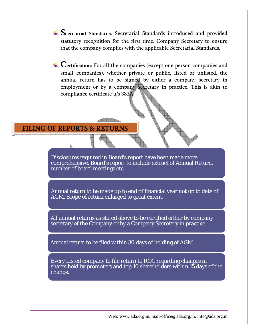Secretarial Standards: Secretarial Standards introduced and provided statutory recognition for the first time. Company Secretary to ensure that the company complies with the applicable Secretarial Standards.

 $\overline{\phantom{a}}$  Certification: For all the companies (except one person companies and small companies), whether private or public, listed or unlisted, the annual return has to be signed by either a company secretary in employment or by a company secretary in practice. This is akin to compliance certificate u/s 383A.

del alta de la construcción de la construcción de la construcción de la construcción de la construcción de la

FILING OF REPORTS & RETURNS

Disclosures required in Board's report have been made more comprehensive. Board's report to include extract of Annual Return, number of board meetings etc.

Annual return to be made up to end of financial year not up to date of AGM. Scope of return enlarged to great extent.

All annual returns as stated above to be certified either by company secretary of the Company or by a Company Secretary in practice.

Annual return to be filed within 30 days of holding of AGM

Every Listed company to file return to ROC regarding changes in shares held by promoters and top 10 shareholders within 15 days of the change.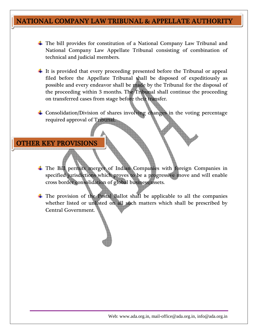## NATIONAL COMPANY LAW TRIBUNAL & APPELLATE AUTHORITY

- $\pm$  The bill provides for constitution of a National Company Law Tribunal and National Company Law Appellate Tribunal consisting of combination of technical and judicial members.
- $\ddagger$  It is provided that every proceeding presented before the Tribunal or appeal filed before the Appellate Tribunal shall be disposed of expeditiously as possible and every endeavor shall be made by the Tribunal for the disposal of the proceeding within 3 months. The Tribunal shall continue the proceeding on transferred cases from stage before their transfer.
- Consolidation/Division of shares involving changes in the voting percentage required approval of Tribunal.

OTHER KEY PROVISIONS

- The Bill permits merger of Indian Companies with foreign Companies in specified jurisdictions which proves to be a progressive move and will enable cross border consolidation of global business/assets.
- The provision of the Postal Ballot shall be applicable to all the companies whether listed or unlisted on all such matters which shall be prescribed by Central Government.